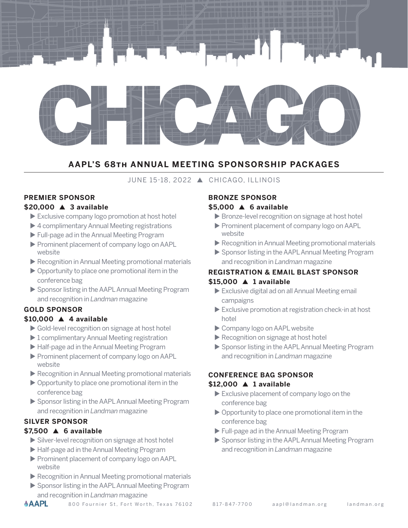

## **AAPL'S 68th ANNUAL MEETING SPONSORSHIP PACKAGES**

## **JUNE 15-18, 2022 ▲ CHICAGO, ILLINOIS**

#### **PREMIER SPONSOR \$20,000 ▲ 3 available**

- $\blacktriangleright$  Exclusive company logo promotion at host hotel
- $\blacktriangleright$  4 complimentary Annual Meeting registrations
- ▶ Full-page ad in the Annual Meeting Program
- Prominent placement of company logo on AAPL website
- $\blacktriangleright$  Recognition in Annual Meeting promotional materials
- $\triangleright$  Opportunity to place one promotional item in the conference bag
- ▶ Sponsor listing in the AAPL Annual Meeting Program and recognition in *Landman* magazine

## **GOLD SPONSOR**

#### \$10,000 **A** 4 available

- $\triangleright$  Gold-level recognition on signage at host hotel
- $\blacktriangleright$  1 complimentary Annual Meeting registration
- ▶ Half-page ad in the Annual Meeting Program
- Prominent placement of company logo on AAPL website
- $\blacktriangleright$  Recognition in Annual Meeting promotional materials
- $\triangleright$  Opportunity to place one promotional item in the conference bag
- ▶ Sponsor listing in the AAPL Annual Meeting Program and recognition in *Landman* magazine

## **SILVER SPONSOR**

### **\$7,500 ▲ 6 available**

- $\triangleright$  Silver-level recognition on signage at host hotel
- ▶ Half-page ad in the Annual Meeting Program
- Prominent placement of company logo on AAPL website
- $\blacktriangleright$  Recognition in Annual Meeting promotional materials
- ▶ Sponsor listing in the AAPL Annual Meeting Program and recognition in *Landman* magazine

# **BRONZE SPONSOR**

## **\$5,000 ▲ 6 available**

- $\triangleright$  Bronze-level recognition on signage at host hotel
- Prominent placement of company logo on AAPL website
- $\blacktriangleright$  Recognition in Annual Meeting promotional materials
- ▶ Sponsor listing in the AAPL Annual Meeting Program and recognition in *Landman* magazine

## **REGISTRATION & EMAIL BLAST SPONSOR \$15,000 ▲ 1 available**

- $\blacktriangleright$  Exclusive digital ad on all Annual Meeting email campaigns
- $\blacktriangleright$  Exclusive promotion at registration check-in at host hotel
- Company logo on AAPL website
- $\blacktriangleright$  Recognition on signage at host hotel
- ▶ Sponsor listing in the AAPL Annual Meeting Program and recognition in *Landman* magazine

## **CONFERENCE BAG SPONSOR**

#### \$12,000 **A** 1 available

- $\blacktriangleright$  Exclusive placement of company logo on the conference bag
- $\triangleright$  Opportunity to place one promotional item in the conference bag
- Eull-page ad in the Annual Meeting Program
- ▶ Sponsor listing in the AAPL Annual Meeting Program and recognition in *Landman* magazine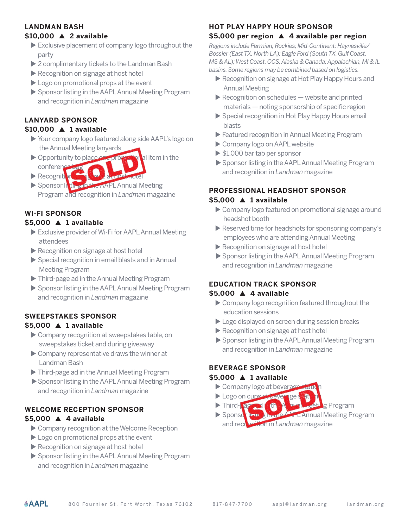# **LANDMAN BASH**

## \$10,000 **A** 2 available

- $\blacktriangleright$  Exclusive placement of company logo throughout the party
- $\triangleright$  2 complimentary tickets to the Landman Bash
- $\blacktriangleright$  Recognition on signage at host hotel
- $\blacktriangleright$  Logo on promotional props at the event
- ▶ Sponsor listing in the AAPL Annual Meeting Program and recognition in *Landman* magazine

# **LANYARD SPONSOR**

## **\$10,000 ▲ 1 available**

- u Your company logo featured along side AAPL's logo on the Annual Meeting lanyards
- $\triangleright$  Opportunity to place one properties in the conference bag
- $\blacktriangleright$  Recognition
- Sponsor listing in the AAPL Annual Meeting Program and recognition in *Landman* magazine

# **WI-FI SPONSOR**

## **\$5,000 ▲ 1 available**

- $\triangleright$  Exclusive provider of Wi-Fi for AAPL Annual Meeting attendees
- $\blacktriangleright$  Recognition on signage at host hotel
- $\triangleright$  Special recognition in email blasts and in Annual Meeting Program
- Inird-page ad in the Annual Meeting Program
- ▶ Sponsor listing in the AAPL Annual Meeting Program and recognition in *Landman* magazine

#### **SWEEPSTAKES SPONSOR \$5,000 ▲ 1 available**

- $\triangleright$  Company recognition at sweepstakes table, on sweepstakes ticket and during giveaway
- $\triangleright$  Company representative draws the winner at Landman Bash
- $\blacktriangleright$  Third-page ad in the Annual Meeting Program
- ▶ Sponsor listing in the AAPL Annual Meeting Program and recognition in *Landman* magazine

## **WELCOME RECEPTION SPONSOR \$5,000 ▲ 4 available**

- Company recognition at the Welcome Reception
- $\blacktriangleright$  Logo on promotional props at the event
- $\blacktriangleright$  Recognition on signage at host hotel
- ▶ Sponsor listing in the AAPL Annual Meeting Program and recognition in *Landman* magazine

## **HOT PLAY HAPPY HOUR SPONSOR**

### **\$5,000 per region** p **4 available per region**

*Regions include Permian; Rockies; Mid-Continent; Haynesville/ Bossier (East TX, North LA); Eagle Ford (South TX, Gulf Coast, MS & AL); West Coast, OCS, Alaska & Canada; Appalachian, MI & IL basins. Some regions may be combined based on logistics.*

- Recognition on signage at Hot Play Happy Hours and Annual Meeting
- $\blacktriangleright$  Recognition on schedules  $-$  website and printed materials — noting sponsorship of specific region
- ▶ Special recognition in Hot Play Happy Hours email blasts
- **Example 2** Featured recognition in Annual Meeting Program
- Company logo on AAPL website
- $\triangleright$  \$1,000 bar tab per sponsor
- ▶ Sponsor listing in the AAPL Annual Meeting Program and recognition in *Landman* magazine

#### **PROFESSIONAL HEADSHOT SPONSOR \$5,000 ▲ 1 available**

- $\triangleright$  Company logo featured on promotional signage around headshot booth
- $\blacktriangleright$  Reserved time for headshots for sponsoring company's employees who are attending Annual Meeting
- $\blacktriangleright$  Recognition on signage at host hotel
- Sponsor listing in the AAPL Annual Meeting Program and recognition in *Landman* magazine

## **EDUCATION TRACK SPONSOR**

#### **\$5,000 ▲ 4 available**

- $\triangleright$  Company logo recognition featured throughout the education sessions
- $\blacktriangleright$  Logo displayed on screen during session breaks
- $\blacktriangleright$  Recognition on signage at host hotel
- Sponsor listing in the AAPL Annual Meeting Program and recognition in *Landman* magazine

## **BEVERAGE SPONSOR**

#### **\$5,000 ▲ 1 available**

- $\triangleright$  Company logo at beverage
- Logo on cups at beverage
- **> Third-page ad in the Annual Meeting Program**
- u Sponsor listing in theAAPLAnnual Meeting Program and recognition in *Landman* magazine